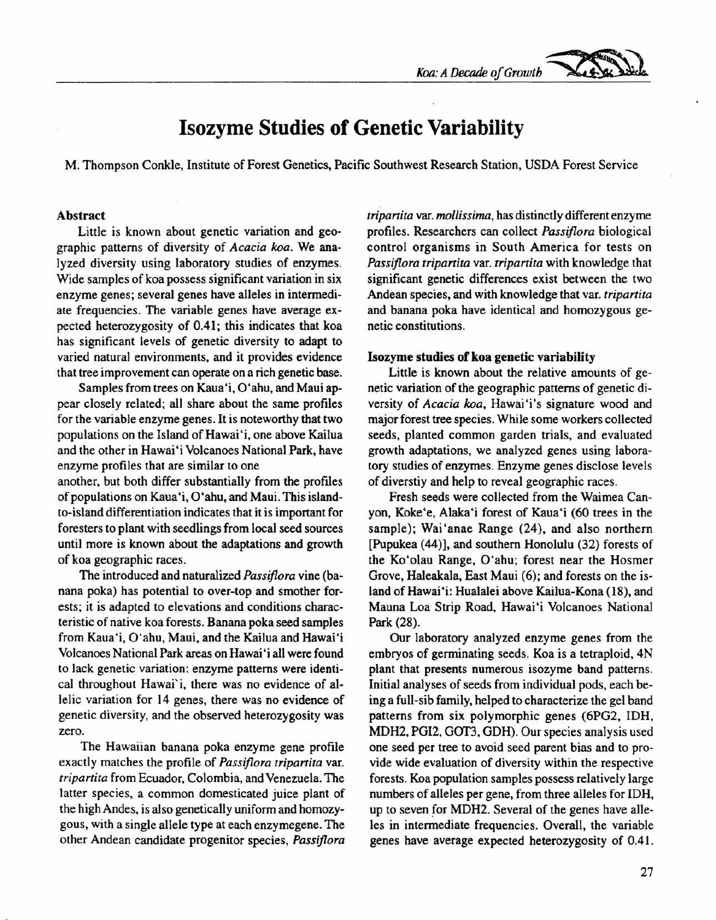*Koa:A Decade of Growth ~*

## **Isozyme Studies of Genetic Variability**

M. Thompson Conkle, Institute of Forest Genetics, Pacific Southwest Research Station, USDA Forest Service

### Abstract

Little is known about genetic variation and geographic patterns of diversity of *Acacia koa.* We analyzed diversity using laboratory studies of enzymes. Wide samples of koa possess significant variation in six enzyme genes; several genes have alleles in intermediate frequencies. The variable genes have average expected heterozygosity of 0.41; this indicates that koa has significant levels of genetic diversity to adapt to varied natural environments, and it provides evidence that tree improvement can operate on a rich genetic base.

Samples from trees on Kaua'i, O'ahu, and Maui appear closely related; all share about the same profiles for the variable enzyme genes. It is noteworthy that two populations on the Island of Hawai'i, one above Kailua and the other in Hawai 'i Volcanoes National Park, have enzyme profiles that are similar to one

another, but both differ substantially from the profiles of populations on Kaua'i, O'ahu, and Maui. This islandto-island differentiation indicates that it is important for foresters to plant with seedlings from local seed sources until more is known about the adaptations and growth of koa geographic races.

The introduced and naturalized *Passiflora* vine (banana poka) has potential to over-top and smother forests; it is adapted to elevations and conditions characteristic of native koa forests. Banana poka seed samples from Kaua'i, O'ahu, Maui, and the Kailua and Hawai'i Volcanoes National Park areas on Hawai'i all were found to lack genetic variation: enzyme patterns were identical throughout Hawai'i, there was no evidence of allelic variation for 14 genes, there was no evidence of genetic diversity, and the observed heterozygosity was zero.

The Hawaiian banana poka enzyme gene profile exactly matches the profile of *Passiflora tripartita* var. *tripartita* from Ecuador, Colombia, and Venezuela. The latter species, a common domesticated juice plant of the high Andes, is also genetically uniform and homozygous, with a single allele type at each enzymegene. The other Andean candidate progenitor species, *Passiflora* *tripartita* var. *mollissima,* has distinctly different enzyme profiles. Researchers can collect *Passiflora* biological control organisms in South America for tests on *Passiflora tripartita* var. *tripartita* with knowledge that significant genetic differences exist between the two Andean species, and with knowledge that var. *tripartita* and banana poka have identical and homozygous genetic constitutions.

### Isozyme studies of koa genetic variability

Little is known about the relative amounts of genetic variation of the geographic patterns of genetic diversity of *Acacia koa,* Hawai'i's signature wood and major forest tree species. While some workers collected seeds, planted common garden trials, and evaluated growth adaptations, we analyzed genes using laboratory studies of enzymes. Enzyme genes disclose levels of diverstiy and help to reveal geographic races.

Fresh seeds were collected from the Waimea Canyon, Koke'e, Alaka'i forest of Kaua'i (60 trees in the sample); Wai'anae Range (24), and also northern [Pupukea (44)], and southern Honolulu (32) forests of the Ko'olau Range, O'ahu; forest near the Hosmer Grove, Haleakala, East Maui (6); and forests on the island of Hawai'i: Hualalei above Kailua-Kona (18), and Mauna Loa Strip Road, Hawai'i Volcanoes National Park (28).

Our laboratory analyzed enzyme genes from the embryos of germinating seeds. Koa is a tetraploid, 4N plant that presents numerous isozyme band patterns. Initial analyses of seeds from individual pods, each being a full-sib family, helped to characterize the gel band patterns from six polymorphic genes (6PG2, IDH, MDH2, PGI2, GOT3, GDH). Our species analysis used one seed per tree to avoid seed parent bias and to provide wide evaluation of diversity within the respective forests. Koa population samples possess relatively large numbers of alleles per gene, from three alleles for IDH, up to seven *for* MDH2. Several of the genes have alleles in intermediate frequencies. Overall, the variable genes have average expected heterozygosity of 0.4l.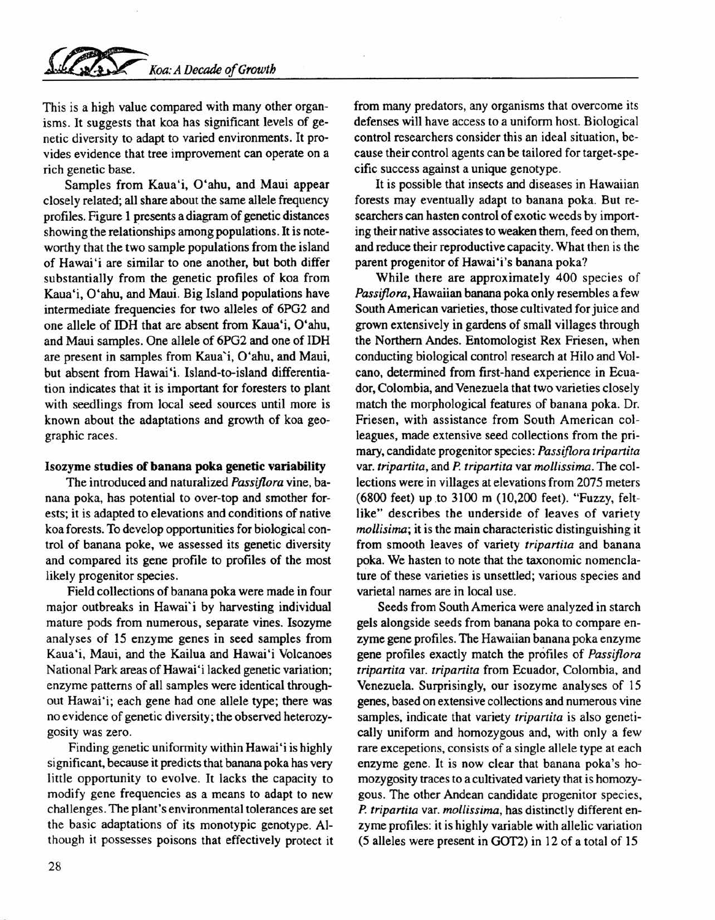# *Koa: A Decade of Growth*

This is a high value compared with many other organisms. It suggests that koa has significant levels of genetic diversity to adapt to varied environments. It provides evidence that tree improvement can operate on a rich genetic base.

Samples from Kaua'i. O'ahu, and Maui appear closely related; all share about the same allele frequency profiles. Figure 1 presents a diagram of genetic distances showing the relationships among populations. It is noteworthy that the two sample populations from the island of Hawai'i are similar to one another, but both differ substantially from the genetic profiles of koa from Kaua'i, O'ahu, and Maui. Big Island populations have intermediate frequencies for two alleles of 6PG2 and one allele of IDH that are absent from Kaua'i, O'ahu, and Maui samples. One allele of 6PG2 and one of IDH are present in samples from Kaua'i, O'ahu, and Maui, but absent from Hawai'i. Island-to-island differentiation indicates that it is important for foresters to plant with seedlings from local seed sources until more is known about the adaptations and growth of koa geographic races.

#### Isozyme studies of banana poka genetic variability

The introduced and naturalized *Passijlora* vine, banana poka, has potential to over-top and smother forests; it is adapted to elevations and conditions of native koa forests. To develop opportunities for biological control of banana poke, we assessed its genetic diversity and compared its gene profile to profiles of the most likely progenitor species.

Field collections of banana poka were made in four major outbreaks in Hawai'i by harvesting individual mature pods from numerous, separate vines. Isozyme analyses of 15 enzyme genes in seed samples from Kaua'i, Maui, and the Kailua and Hawai'i Volcanoes National Park areas of Hawai 'i lacked genetic variation; enzyme patterns of all samples were identical throughout Hawai'i; each gene had one allele type; there was no evidence of genetic diversity; the observed heterozygosity was zero.

Finding genetic uniformity within Hawai'i is highly significant, because it predicts that banana poka has very little opportunity to evolve. It lacks the capacity to modify gene frequencies as a means to adapt to new challenges. The plant's environmental tolerances are set the basic adaptations of its monotypic genotype. Although it possesses poisons that effectively protect it from many predators, any organisms that overcome its defenses will have access to a uniform host. Biological control researchers consider this an ideal situation, because their control agents can be tailored for target-specific success against a unique genotype.

It is possible that insects and diseases in Hawaiian forests may eventually adapt to banana poka. But researchers can hasten control of exotic weeds by importing their native associates to weaken them, feed on them, and reduce their reproductive capacity. What then is the parent progenitor of Hawai'i's banana poka?

While there are approximately 400 species of *Passijlora,* Hawaiian banana poka only resembles a few South American varieties, those cultivated for juice and grown extensively in gardens of small villages through the Northern Andes. Entomologist Rex Friesen, when conducting biological control research at Hilo and Volcano, determined from first-hand experience in Ecuador, Colombia, and Venezuela that two varieties closely match the morphological features of banana poka. Dr. Friesen, with assistance from South American colleagues, made extensive seed collections from the primary, candidate progenitor species: *Passijlora tripartita* var. *tripartita,* and *P. tripartita* var *mollissima.* The collections were in villages at elevations from 2075 meters (6800 feet) up.to 3100 m (10,200 feet). "Fuzzy, feltlike" describes the underside of leaves of variety *mollisima;* it is the main characteristic distinguishing it from smooth leaves of variety *tripartita* and banana poka. We hasten to note that the taxonomic nomenclature of these varieties is unsettled; various species and varietal names are in local use.

Seeds from South America were analyzed in starch gels alongside seeds from banana poka to compare enzyme gene profiles. The Hawaiian banana poka enzyme gene profiles exactly match the profiles of *Passijlora tripartita* var. *tripartita* from Ecuador, Colombia, and Venezuela. Surprisingly, our isozyme analyses of 15 genes, based on extensive collections and numerous vine samples, indicate that variety *tripartita* is also genetically uniform and homozygous and, with only a few rare excepetions, consists of a single allele type at each enzyme gene. It is now clear that banana poka's homozygosity traces to a cultivated variety that is homozygous. The other Andean candidate progenitor species, *P. tripartita* var. *mollissima,* has distinctly different enzyme profiles: it is highly variable with allelic variation (5 alleles were present in GOT2) in 12 of a total of 15